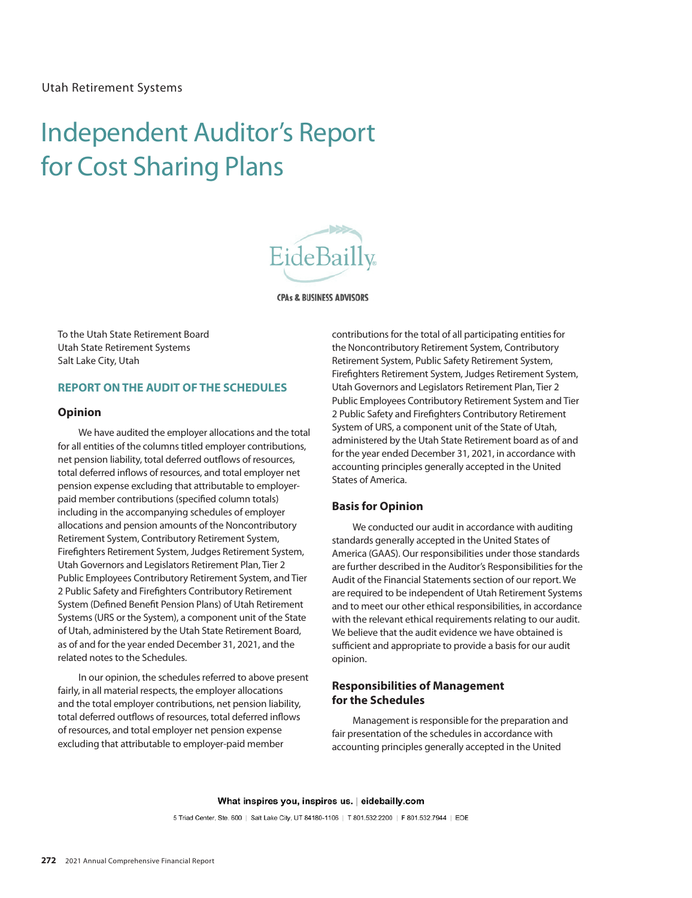# Independent Auditor's Report Independent Auditor's Report for Cost Sharing Plans



**CPAs & BUSINESS ADVISORS** 

To the Utah State Retirement Board Utah State Retirement Systems Salt Lake City, Utah

# **REPORT ON THE AUDIT OF THE SCHEDULES**

#### **Opinion**

We have audited the employer allocations and the total for all entities of the columns titled employer contributions, net pension liability, total deferred outflows of resources, total deferred inflows of resources, and total employer net pension expense excluding that attributable to employerpaid member contributions (specified column totals) including in the accompanying schedules of employer allocations and pension amounts of the Noncontributory Retirement System, Contributory Retirement System, Firefighters Retirement System, Judges Retirement System, Utah Governors and Legislators Retirement Plan, Tier 2 Public Employees Contributory Retirement System, and Tier 2 Public Safety and Firefighters Contributory Retirement System (Defined Benefit Pension Plans) of Utah Retirement Systems (URS or the System), a component unit of the State of Utah, administered by the Utah State Retirement Board, as of and for the year ended December 31, 2021, and the related notes to the Schedules.

In our opinion, the schedules referred to above present fairly, in all material respects, the employer allocations and the total employer contributions, net pension liability, total deferred outflows of resources, total deferred inflows of resources, and total employer net pension expense excluding that attributable to employer-paid member

contributions for the total of all participating entities for the Noncontributory Retirement System, Contributory Retirement System, Public Safety Retirement System, Firefighters Retirement System, Judges Retirement System, Utah Governors and Legislators Retirement Plan, Tier 2 Public Employees Contributory Retirement System and Tier 2 Public Safety and Firefighters Contributory Retirement System of URS, a component unit of the State of Utah, administered by the Utah State Retirement board as of and for the year ended December 31, 2021, in accordance with accounting principles generally accepted in the United States of America.

#### **Basis for Opinion**

We conducted our audit in accordance with auditing standards generally accepted in the United States of America (GAAS). Our responsibilities under those standards are further described in the Auditor's Responsibilities for the Audit of the Financial Statements section of our report. We are required to be independent of Utah Retirement Systems and to meet our other ethical responsibilities, in accordance with the relevant ethical requirements relating to our audit. We believe that the audit evidence we have obtained is sufficient and appropriate to provide a basis for our audit opinion.

# **Responsibilities of Management for the Schedules**

Management is responsible for the preparation and fair presentation of the schedules in accordance with accounting principles generally accepted in the United

What inspires you, inspires us. | eidebailly.com

5 Triad Center, Ste. 600 | Salt Lake City, UT 84180-1106 | T 801.532.2200 | F 801.532.7944 | EOE